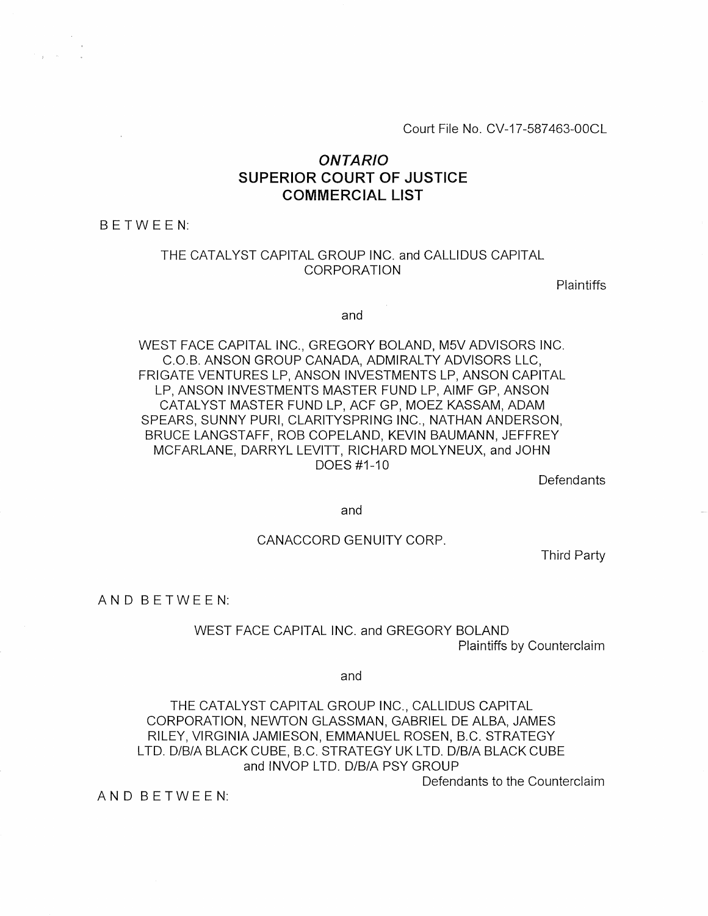Court File No. CV-17-587463-00CL

## *ONTARIO*  **SUPERIOR COURT OF JUSTICE COMMERCIAL LIST**

BETWEEN:

### THE CATALYST CAPITAL GROUP INC. and CALLIDUS CAPITAL CORPORATION

Plaintiffs

and

WEST FACE CAPITAL INC., GREGORY BOLAND, M5V ADVISORS INC. C.O.B. ANSON GROUP CANADA, ADMIRALTY ADVISORS LLC, FRIGATE VENTURES LP, ANSON INVESTMENTS LP, ANSON CAPITAL LP, ANSON INVESTMENTS MASTER FUND LP, AIMF GP, ANSON CATALYST MASTER FUND LP, ACF GP, MOEZ KASSAM, ADAM SPEARS, SUNNY PURI, CLARITYSPRING INC., NATHAN ANDERSON, BRUCE LANGSTAFF, ROB COPELAND, KEVIN BAUMANN, JEFFREY MCFARLANE, DARRYL LEVITT, RICHARD MOLYNEUX, and JOHN DOES #1-10

**Defendants** 

and

#### CANACCORD GENUITY CORP.

Third Party

AN D BETWEEN:

WEST FACE CAPITAL INC. and GREGORY BOLAND Plaintiffs by Counterclaim

and

THE CATALYST CAPITAL GROUP INC., CALLIDUS CAPITAL CORPORATION, NEWTON GLASSMAN, GABRIEL DE ALBA, JAMES RILEY, VIRGINIA JAMIESON, EMMANUEL ROSEN, B.C. STRATEGY LTD. D/B/A BLACK CUBE, B.C. STRATEGY UK LTD. D/B/A BLACK CUBE and INVOP LTD. D/B/A PSY GROUP

Defendants to the Counterclaim

AN D BETWEEN: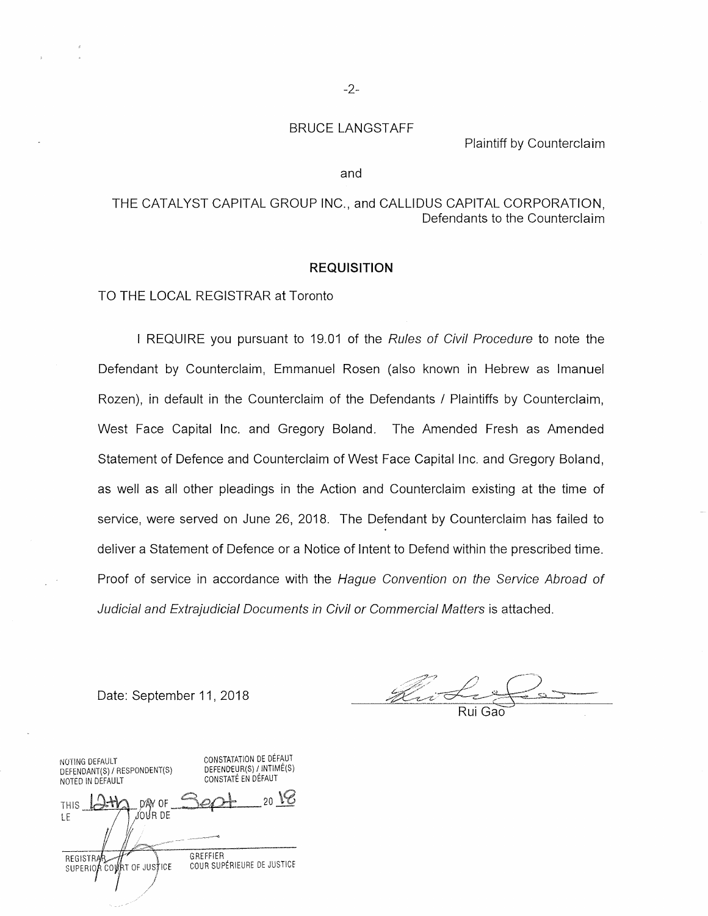#### BRUCE LANGSTAFF

Plaintiff by Counterclaim

#### and

#### THE CATALYST CAPITAL GROUP INC., and CALLIDUS CAPITAL CORPORATION, Defendants to the Counterclaim

#### **REQUISITION**

TO THE LOCAL REGISTRAR at Toronto

I REQUIRE you pursuant to 19.01 of the *Rules of Civil Procedure* to note the Defendant by Counterclaim, Emmanuel Rosen (also known in Hebrew as Imanuel Rozen), in default in the Counterclaim of the Defendants / Plaintiffs by Counterclaim, West Face Capital Inc. and Gregory Boland. The Amended Fresh as Amended Statement of Defence and Counterclaim of West Face Capital Inc. and Gregory Boland, as well as all other pleadings in the Action and Counterclaim existing at the time of service, were served on June 26, 2018. The Defendant by Counterclaim has failed to deliver a Statement of Defence or a Notice of Intent to Defend within the prescribed time. Proof of service in accordance with the *Hague Convention on the Service Abroad of Judicial and Extrajudicial Documents in Civil or Commercial Matters is attached.* 

Date: September 11, 2018

Rui Gao

CONSTATATION DE DEFAUT NOTING DEFAULT DEFENDEUR(S) / INTIME(S) DEFENDANT(S) / RESPONDENT(S) NOTED IN DEFAULT CONSTATE EN DEFAUT 20 IS DÂY OF THIS JOUR DE  $IF$ GREFFIER **REGISTRAR** COUR SUPÉRIEURE DE JUSTICE RT OF JUSTICE SUPERIOR CO⊌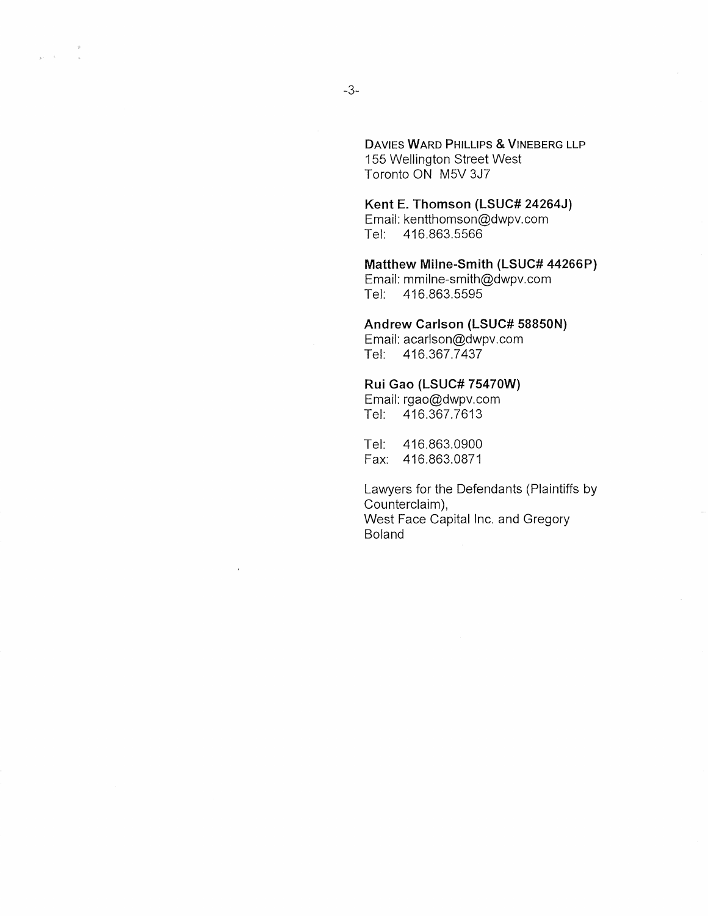DAVIES WARD PHILLIPS & VINEBERG LLP 155 Wellington Street West Toronto ON M5V 3J7

**Kent E. Thomson (LSUC# 24264J)**  Email: kentthomson@dwpv.com Tel: 416.863.5566

**Matthew Milne-Smith (LSUC# 44266P)**  Email: mmilne-smith@dwpv.com Tel: 416.863.5595

**Andrew Carlson (LSUC# 58850N)** 

Email: acarlson@dwpv.com Tel: 416.367.7437

#### **Rui Gao (LSUC# 75470W)**

Email: rgao@dwpv.com Tel: 416.367.7613

Tel: 416.863.0900 Fax: 416.863.0871

Lawyers for the Defendants (Plaintiffs by Counterclaim), West Face Capital Inc. and Gregory Boland

 $\tilde{\mathcal{L}}$